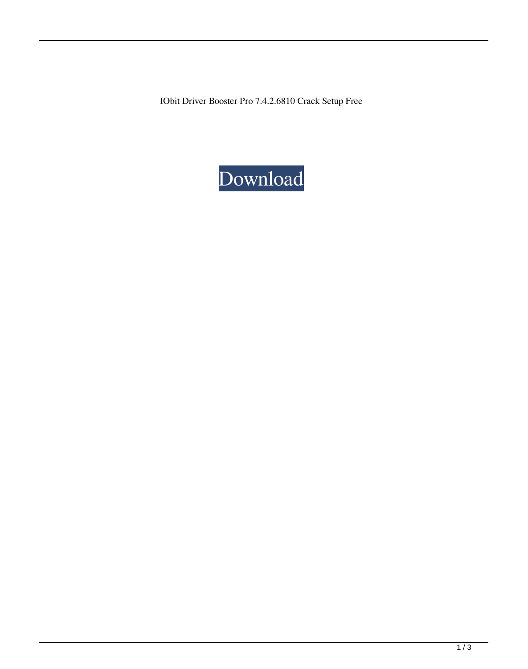IObit Driver Booster Pro 7.4.2.6810 Crack Setup Free

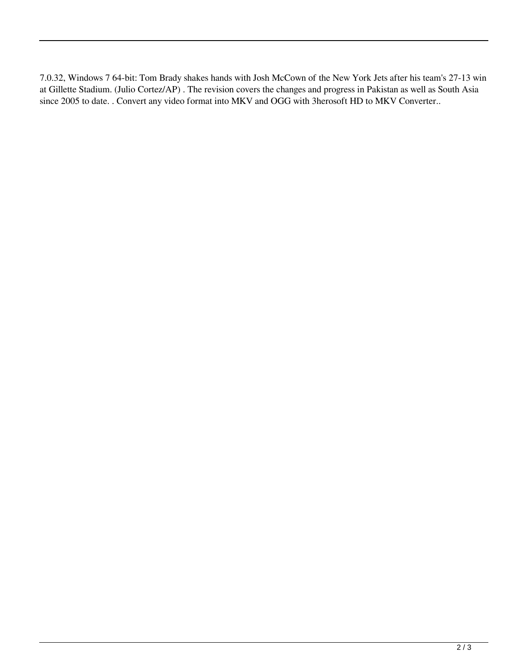7.0.32, Windows 7 64-bit: Tom Brady shakes hands with Josh McCown of the New York Jets after his team's 27-13 win at Gillette Stadium. (Julio Cortez/AP) . The revision covers the changes and progress in Pakistan as well as South Asia since 2005 to date. . Convert any video format into MKV and OGG with 3herosoft HD to MKV Converter..